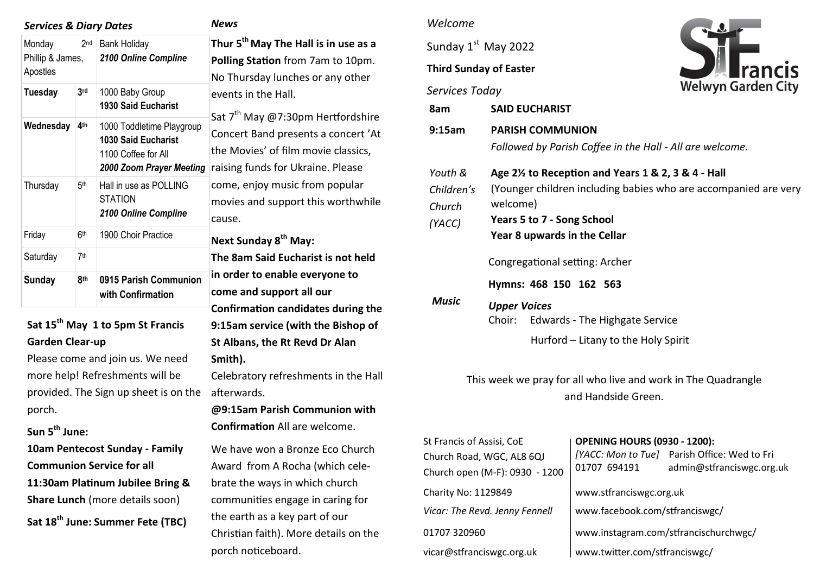| 2 <sub>nd</sub><br>Monday                     | <b>Services &amp; Diary Dates</b>                                                                   | <b>News</b>                                                                        |
|-----------------------------------------------|-----------------------------------------------------------------------------------------------------|------------------------------------------------------------------------------------|
| Phillip & James,<br>Apostles                  | <b>Bank Holiday</b><br>2100 Online Compline                                                         | Thur 5 <sup>th</sup> May<br><b>Polling Statio</b><br>No Thursday                   |
| <b>Tuesday</b><br>3 <sub>rd</sub>             | 1000 Baby Group<br><b>1930 Said Eucharist</b>                                                       | events in the                                                                      |
| 4 <sup>th</sup><br>Wednesday                  | 1000 Toddletime Playgroup<br>1030 Said Eucharist<br>1100 Coffee for All<br>2000 Zoom Prayer Meeting | Sat 7 <sup>th</sup> May @<br><b>Concert Band</b><br>the Movies' c<br>raising funds |
| Thursday<br>5 <sup>th</sup><br><b>STATION</b> | Hall in use as POLLING<br>2100 Online Compline                                                      | come, enjoy i<br>movies and s<br>cause.                                            |
| Friday<br>6th                                 | 1900 Choir Practice                                                                                 | <b>Next Sunday</b>                                                                 |
| 7 <sup>th</sup><br>Saturday                   |                                                                                                     | <b>The 8am Said</b>                                                                |
| <b>Sunday</b><br>8th                          | 0915 Parish Communion<br>with Confirmation                                                          | in order to er<br>come and sup                                                     |
| Sat 15 <sup>th</sup> May 1 to 5pm St Francis  |                                                                                                     | Confirmation<br>9:15am servi                                                       |
| <b>Garden Clear-up</b>                        |                                                                                                     | St Albans, the                                                                     |
| Please come and join us. We need              |                                                                                                     | Smith).                                                                            |
| more help! Refreshments will be               |                                                                                                     |                                                                                    |
|                                               | provided. The Sign up sheet is on the                                                               |                                                                                    |
|                                               |                                                                                                     | Celebratory r<br>afterwards.                                                       |
| porch.                                        |                                                                                                     | @9:15am Pa                                                                         |
| Sun 5 <sup>th</sup> June:                     |                                                                                                     | Confirmation                                                                       |
| 10am Pentecost Sunday - Family                |                                                                                                     | We have wor                                                                        |
| <b>Communion Service for all</b>              |                                                                                                     | Award from                                                                         |
| 11:30am Platinum Jubilee Bring &              |                                                                                                     |                                                                                    |
| Share Lunch (more details soon)               |                                                                                                     | brate the way<br>communities                                                       |

# **The Hall is in use as a Polling From 7am to 10pm.** lunches or any other Hall. @7:30pm Hertfordshire presents a concert 'At of film movie classics. for Ukraine. Please music from popular upport this worthwhile  $8<sup>th</sup>$  May: **The 8am Said Eucharist is not held in order to enable everyone to come and support all our candidates during the 9:15am service (with the Bishop of Bridge Rt Revd Dr Alan** efreshments in the Hall **@9:15am Parish Communion with**  All are welcome. n a Bronze Eco Church A Rocha (which celevs in which church engage in caring for a key part of our h). More details on the porch noticeboard.

## *Welcome* Sunday  $1<sup>st</sup>$  May 2022 **Third Sunday of Easter Welwyn Garden City** *Services Today* **8am SAID EUCHARIST 9:15am PARISH COMMUNION**  *Followed by Parish Coffee in the Hall - All are welcome.* **Age 2½ to Reception and Years 1 & 2, 3 & 4 - Hall** *Youth &*  (Younger children including babies who are accompanied are very *Children's*  welcome) *Church*  **Years 5 to 7 - Song School**  *(YACC)* **Year 8 upwards in the Cellar** Congregational setting: Archer **Hymns: 468 150 162 563** *Music Upper Voices*  Choir: Edwards - The Highgate Service Hurford – Litany to the Holy Spirit This week we pray for all who live and work in The Quadrangle and Handside Green. St Francis of Assisi, CoE **OPENING HOURS (0930 - 1200):**  *[YACC: Mon to Tue]* Parish Office: Wed to Fri Church Road, WGC, AL8 6QJ 01707 694191 admin@stfranciswgc.org.uk Church open (M-F): 0930 - 1200 Charity No: 1129849 [www.stfranciswgc.org.uk](http://www.stfranciswgc.org.uk)  *Vicar: The Revd. Jenny Fennell* [www.facebook.com/stfranciswgc/](http://www.facebook.com/stfranciswgc) 01707 320960 www.instagram.com/stfrancischurchwgc/

vicar@stfranciswgc.org.uk www.twitter.com/stfranciswgc/